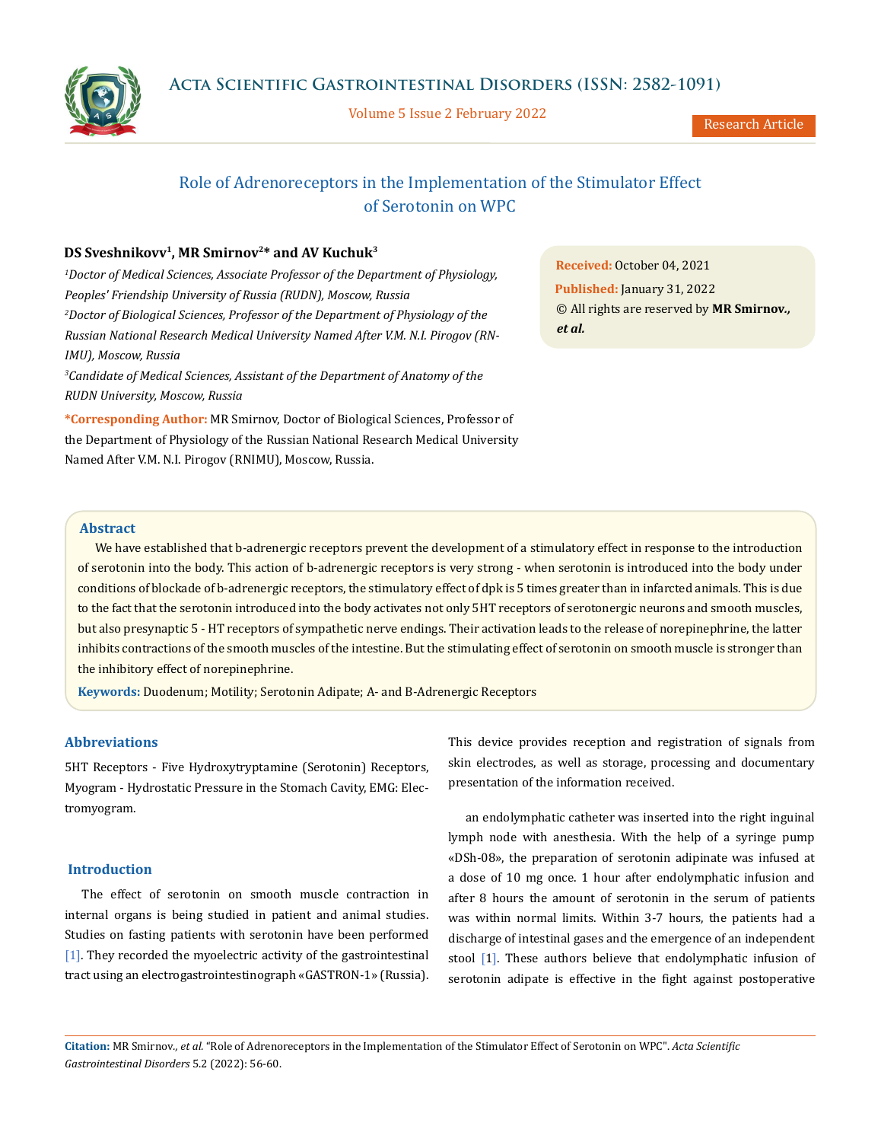

Volume 5 Issue 2 February 2022



# Role of Adrenoreceptors in the Implementation of the Stimulator Effect of Serotonin on WPC

## DS Sveshnikovv<sup>1</sup>, MR Smirnov<sup>2\*</sup> and AV Kuchuk<sup>3</sup>

*1 Doctor of Medical Sciences, Associate Professor of the Department of Physiology, Peoples' Friendship University of Russia (RUDN), Moscow, Russia 2 Doctor of Biological Sciences, Professor of the Department of Physiology of the Russian National Research Medical University Named After V.M. N.I. Pirogov (RN-IMU), Moscow, Russia 3 Candidate of Medical Sciences, Assistant of the Department of Anatomy of the* 

*RUDN University, Moscow, Russia* 

**\*Corresponding Author:** MR Smirnov, Doctor of Biological Sciences, Professor of the Department of Physiology of the Russian National Research Medical University Named After V.M. N.I. Pirogov (RNIMU), Moscow, Russia.

**Received:** October 04, 2021 **Published:** January 31, 2022 © All rights are reserved by **MR Smirnov***., et al.*

## **Abstract**

We have established that b-adrenergic receptors prevent the development of a stimulatory effect in response to the introduction of serotonin into the body. This action of b-adrenergic receptors is very strong - when serotonin is introduced into the body under conditions of blockade of b-adrenergic receptors, the stimulatory effect of dpk is 5 times greater than in infarcted animals. This is due to the fact that the serotonin introduced into the body activates not only 5HT receptors of serotonergic neurons and smooth muscles, but also presynaptic 5 - HT receptors of sympathetic nerve endings. Their activation leads to the release of norepinephrine, the latter inhibits contractions of the smooth muscles of the intestine. But the stimulating effect of serotonin on smooth muscle is stronger than the inhibitory effect of norepinephrine.

**Keywords:** Duodenum; Motility; Serotonin Adipate; Α- and Β-Adrenergic Receptors

### **Abbreviations**

5HT Receptors - Five Hydroxytryptamine (Serotonin) Receptors, Myogram - Hydrostatic Pressure in the Stomach Cavity, EMG: Electromyogram.

### **Introduction**

The effect of serotonin on smooth muscle contraction in internal organs is being studied in patient and animal studies. Studies on fasting patients with serotonin have been performed [1]. They recorded the myoelectric activity of the gastrointestinal tract using an electrogastrointestinograph «GASTRON-1» (Russia). This device provides reception and registration of signals from skin electrodes, as well as storage, processing and documentary presentation of the information received.

an endolymphatic catheter was inserted into the right inguinal lymph node with anesthesia. With the help of a syringe pump «DSh-08», the preparation of serotonin adipinate was infused at a dose of 10 mg once. 1 hour after endolymphatic infusion and after 8 hours the amount of serotonin in the serum of patients was within normal limits. Within 3-7 hours, the patients had a discharge of intestinal gases and the emergence of an independent stool [1]. These authors believe that endolymphatic infusion of serotonin adipate is effective in the fight against postoperative

**Citation:** MR Smirnov*., et al.* "Role of Adrenoreceptors in the Implementation of the Stimulator Effect of Serotonin on WPC". *Acta Scientific Gastrointestinal Disorders* 5.2 (2022): 56-60.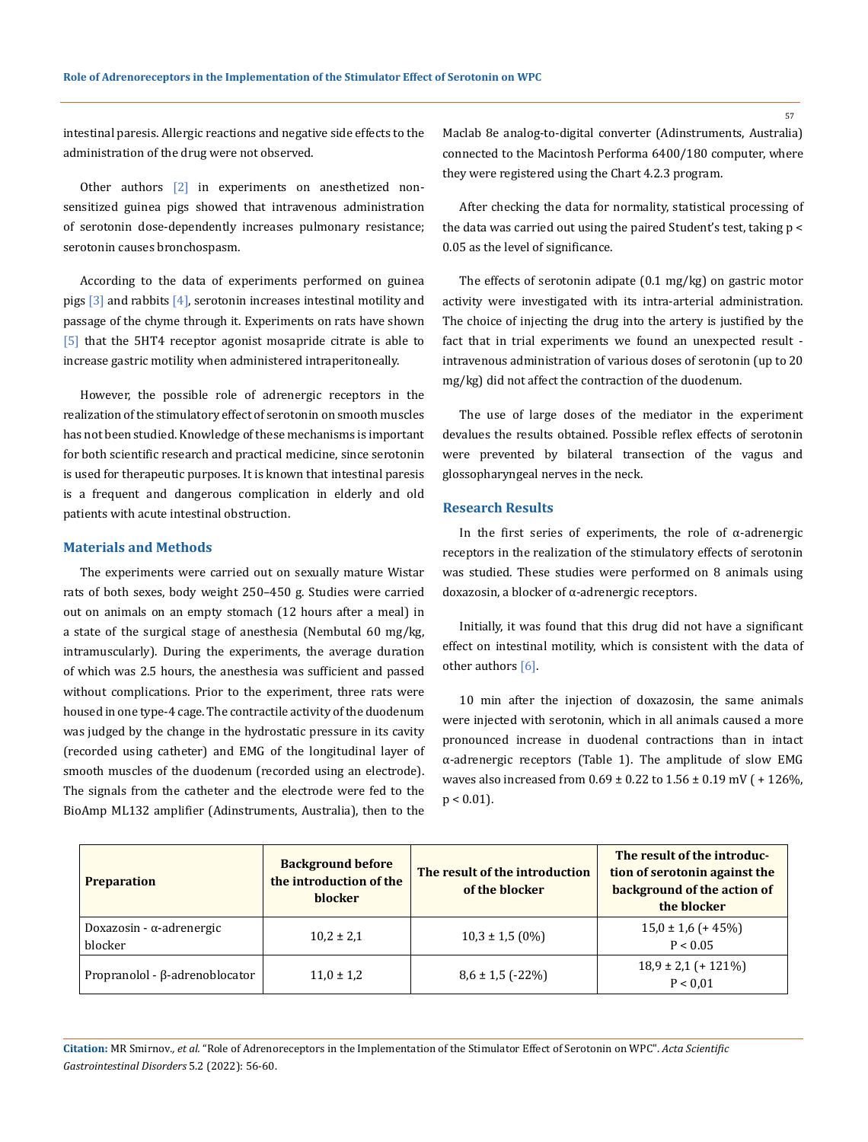intestinal paresis. Allergic reactions and negative side effects to the administration of the drug were not observed.

Other authors [2] in experiments on anesthetized nonsensitized guinea pigs showed that intravenous administration of serotonin dose-dependently increases pulmonary resistance; serotonin causes bronchospasm.

According to the data of experiments performed on guinea pigs  $\lceil 3 \rceil$  and rabbits  $\lceil 4 \rceil$ , serotonin increases intestinal motility and passage of the chyme through it. Experiments on rats have shown [5] that the 5HT4 receptor agonist mosapride citrate is able to increase gastric motility when administered intraperitoneally.

However, the possible role of adrenergic receptors in the realization of the stimulatory effect of serotonin on smooth muscles has not been studied. Knowledge of these mechanisms is important for both scientific research and practical medicine, since serotonin is used for therapeutic purposes. It is known that intestinal paresis is a frequent and dangerous complication in elderly and old patients with acute intestinal obstruction.

#### **Materials and Methods**

The experiments were carried out on sexually mature Wistar rats of both sexes, body weight 250–450 g. Studies were carried out on animals on an empty stomach (12 hours after a meal) in a state of the surgical stage of anesthesia (Nembutal 60 mg/kg, intramuscularly). During the experiments, the average duration of which was 2.5 hours, the anesthesia was sufficient and passed without complications. Prior to the experiment, three rats were housed in one type-4 cage. The contractile activity of the duodenum was judged by the change in the hydrostatic pressure in its cavity (recorded using catheter) and EMG of the longitudinal layer of smooth muscles of the duodenum (recorded using an electrode). The signals from the catheter and the electrode were fed to the BioAmp ML132 amplifier (Adinstruments, Australia), then to the

Maclab 8e analog-to-digital converter (Adinstruments, Australia) connected to the Macintosh Performa 6400/180 computer, where they were registered using the Chart 4.2.3 program.

After checking the data for normality, statistical processing of the data was carried out using the paired Student's test, taking p < 0.05 as the level of significance.

The effects of serotonin adipate (0.1 mg/kg) on gastric motor activity were investigated with its intra-arterial administration. The choice of injecting the drug into the artery is justified by the fact that in trial experiments we found an unexpected result intravenous administration of various doses of serotonin (up to 20 mg/kg) did not affect the contraction of the duodenum.

The use of large doses of the mediator in the experiment devalues the results obtained. Possible reflex effects of serotonin were prevented by bilateral transection of the vagus and glossopharyngeal nerves in the neck.

## **Research Results**

In the first series of experiments, the role of  $\alpha$ -adrenergic receptors in the realization of the stimulatory effects of serotonin was studied. These studies were performed on 8 animals using doxazosin, a blocker of α-adrenergic receptors.

Initially, it was found that this drug did not have a significant effect on intestinal motility, which is consistent with the data of other authors [6].

10 min after the injection of doxazosin, the same animals were injected with serotonin, which in all animals caused a more pronounced increase in duodenal contractions than in intact α-adrenergic receptors (Table 1). The amplitude of slow EMG waves also increased from  $0.69 \pm 0.22$  to  $1.56 \pm 0.19$  mV ( $+126\%$ ), p < 0.01).

| <b>Preparation</b>                    | <b>Background before</b><br>the introduction of the<br><b>blocker</b> | The result of the introduction<br>of the blocker | The result of the introduc-<br>tion of serotonin against the<br>background of the action of<br>the blocker |
|---------------------------------------|-----------------------------------------------------------------------|--------------------------------------------------|------------------------------------------------------------------------------------------------------------|
| Doxazosin - α-adrenergic<br>blocker   | $10,2 \pm 2,1$                                                        | $10,3 \pm 1,5$ (0%)                              | $15,0 \pm 1,6$ (+ 45%)<br>P < 0.05                                                                         |
| Propranolol - $\beta$ -adrenoblocator | $11.0 \pm 1.2$                                                        | $8,6 \pm 1,5$ (-22%)                             | $18.9 \pm 2.1$ (+ 121%)<br>P < 0.01                                                                        |

**Citation:** MR Smirnov*., et al.* "Role of Adrenoreceptors in the Implementation of the Stimulator Effect of Serotonin on WPC". *Acta Scientific Gastrointestinal Disorders* 5.2 (2022): 56-60.

57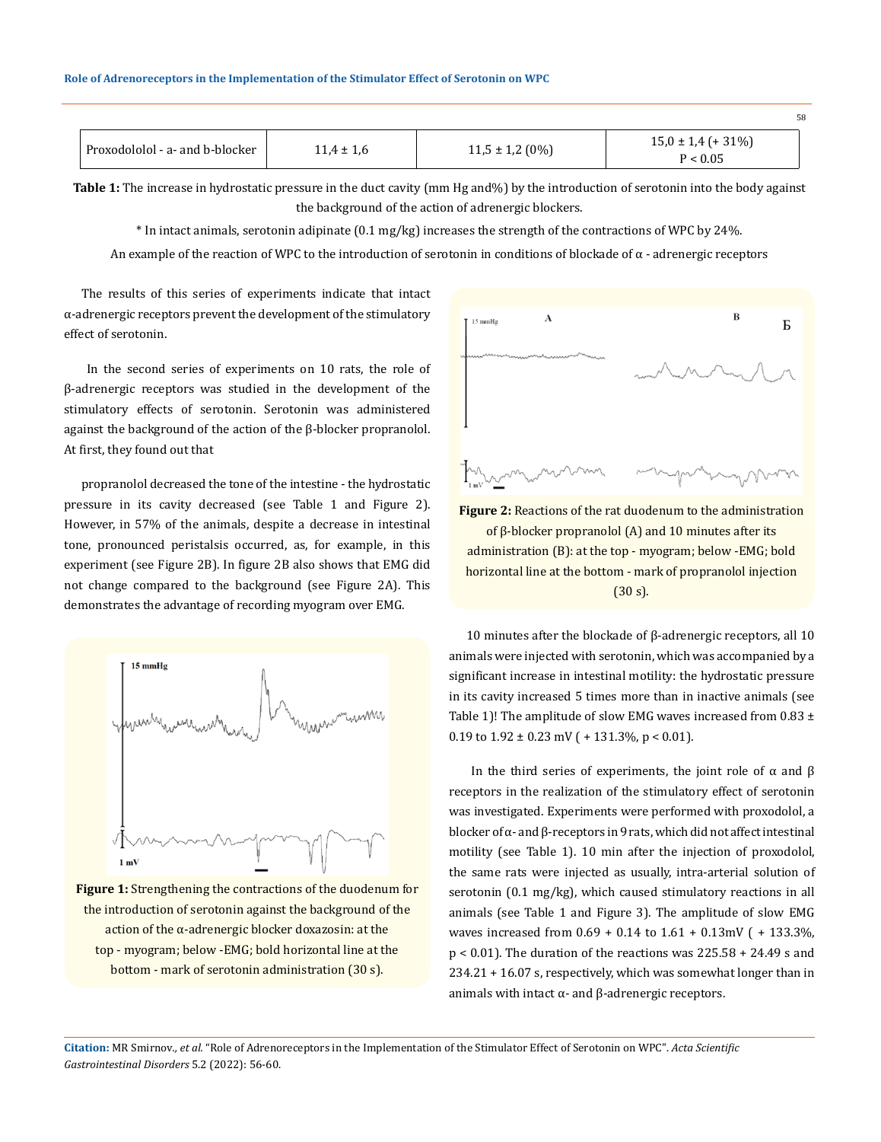|                                   |                |                     | 58                                 |
|-----------------------------------|----------------|---------------------|------------------------------------|
| Proxodololol - a- and b-blocker ` | $11,4 \pm 1,6$ | $11,5 \pm 1,2(0\%)$ | $15,0 \pm 1,4$ (+ 31%)<br>P < 0.05 |

**Table 1:** The increase in hydrostatic pressure in the duct cavity (mm Hg and%) by the introduction of serotonin into the body against the background of the action of adrenergic blockers.

\* In intact animals, serotonin adipinate (0.1 mg/kg) increases the strength of the contractions of WPC by 24%.

An example of the reaction of WPC to the introduction of serotonin in conditions of blockade of  $\alpha$  - adrenergic receptors

The results of this series of experiments indicate that intact α-adrenergic receptors prevent the development of the stimulatory effect of serotonin.

 In the second series of experiments on 10 rats, the role of β-adrenergic receptors was studied in the development of the stimulatory effects of serotonin. Serotonin was administered against the background of the action of the β-blocker propranolol. At first, they found out that

propranolol decreased the tone of the intestine - the hydrostatic pressure in its cavity decreased (see Table 1 and Figure 2). However, in 57% of the animals, despite a decrease in intestinal tone, pronounced peristalsis occurred, as, for example, in this experiment (see Figure 2B). In figure 2B also shows that EMG did not change compared to the background (see Figure 2A). This demonstrates the advantage of recording myogram over EMG.



**Figure 1:** Strengthening the contractions of the duodenum for the introduction of serotonin against the background of the action of the α-adrenergic blocker doxazosin: at the top - myogram; below -EMG; bold horizontal line at the bottom - mark of serotonin administration (30 s).



**Figure 2:** Reactions of the rat duodenum to the administration of β-blocker propranolol (A) and 10 minutes after its administration (B): at the top - myogram; below -EMG; bold horizontal line at the bottom - mark of propranolol injection (30 s).

10 minutes after the blockade of β-adrenergic receptors, all 10 animals were injected with serotonin, which was accompanied by a significant increase in intestinal motility: the hydrostatic pressure in its cavity increased 5 times more than in inactive animals (see Table 1)! The amplitude of slow EMG waves increased from  $0.83 \pm$ 0.19 to  $1.92 \pm 0.23$  mV ( + 131.3%, p < 0.01).

In the third series of experiments, the joint role of α and β receptors in the realization of the stimulatory effect of serotonin was investigated. Experiments were performed with proxodolol, a blocker of α- and β-receptors in 9 rats, which did not affect intestinal motility (see Table 1). 10 min after the injection of proxodolol, the same rats were injected as usually, intra-arterial solution of serotonin (0.1 mg/kg), which caused stimulatory reactions in all animals (see Table 1 and Figure 3). The amplitude of slow EMG waves increased from 0.69 + 0.14 to 1.61 + 0.13mV ( + 133.3%, p < 0.01). The duration of the reactions was 225.58 + 24.49 s and 234.21 + 16.07 s, respectively, which was somewhat longer than in animals with intact α- and β-adrenergic receptors.

**Citation:** MR Smirnov*., et al.* "Role of Adrenoreceptors in the Implementation of the Stimulator Effect of Serotonin on WPC". *Acta Scientific Gastrointestinal Disorders* 5.2 (2022): 56-60.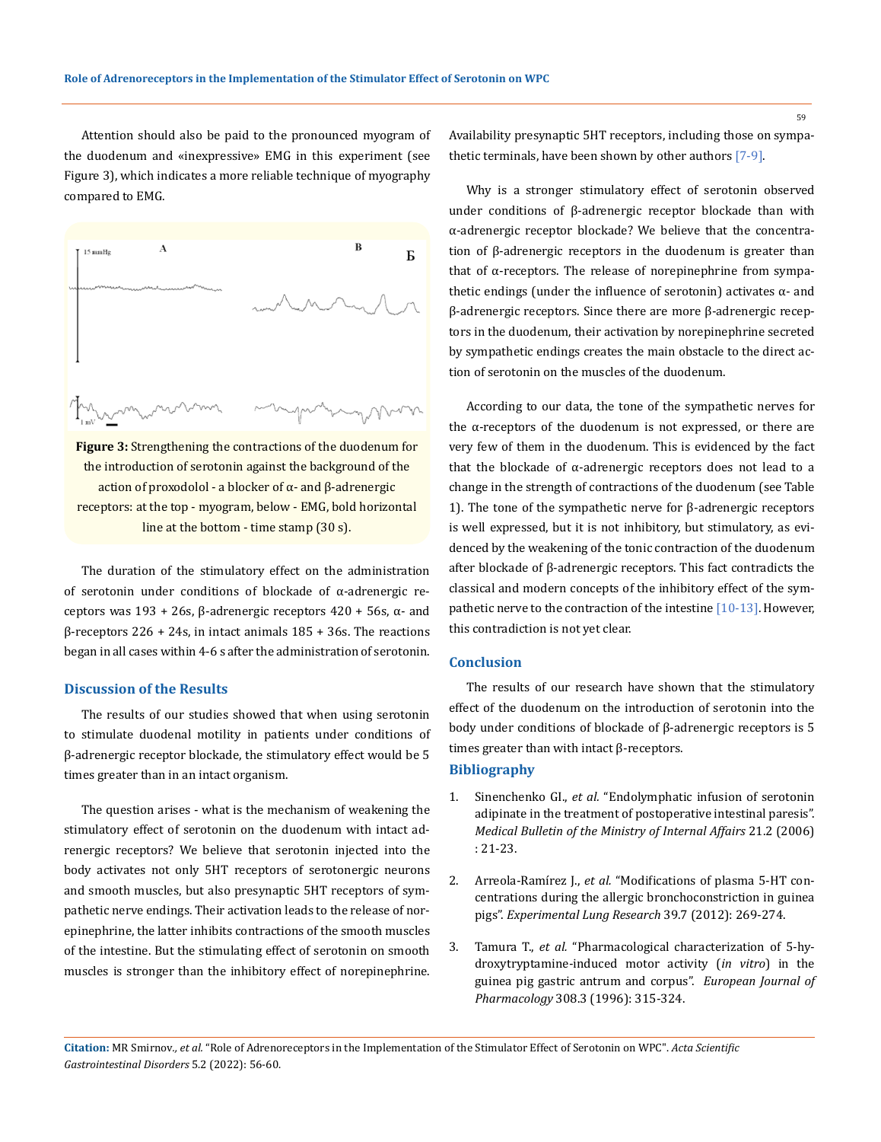Attention should also be paid to the pronounced myogram of the duodenum and «inexpressive» EMG in this experiment (see Figure 3), which indicates a more reliable technique of myography compared to EMG.



**Figure 3:** Strengthening the contractions of the duodenum for the introduction of serotonin against the background of the action of proxodolol - a blocker of α- and β-adrenergic receptors: at the top - myogram, below - EMG, bold horizontal line at the bottom - time stamp (30 s).

The duration of the stimulatory effect on the administration of serotonin under conditions of blockade of α-adrenergic receptors was  $193 + 26s$ , β-adrenergic receptors  $420 + 56s$ , α- and β-receptors 226 + 24s, in intact animals 185 + 36s. The reactions began in all cases within 4-6 s after the administration of serotonin.

### **Discussion of the Results**

The results of our studies showed that when using serotonin to stimulate duodenal motility in patients under conditions of β-adrenergic receptor blockade, the stimulatory effect would be 5 times greater than in an intact organism.

The question arises - what is the mechanism of weakening the stimulatory effect of serotonin on the duodenum with intact adrenergic receptors? We believe that serotonin injected into the body activates not only 5HT receptors of serotonergic neurons and smooth muscles, but also presynaptic 5HT receptors of sympathetic nerve endings. Their activation leads to the release of norepinephrine, the latter inhibits contractions of the smooth muscles of the intestine. But the stimulating effect of serotonin on smooth muscles is stronger than the inhibitory effect of norepinephrine. Availability presynaptic 5HT receptors, including those on sympathetic terminals, have been shown by other authors [7-9].

Why is a stronger stimulatory effect of serotonin observed under conditions of β-adrenergic receptor blockade than with α-adrenergic receptor blockade? We believe that the concentration of β-adrenergic receptors in the duodenum is greater than that of α-receptors. The release of norepinephrine from sympathetic endings (under the influence of serotonin) activates  $α$ - and β-adrenergic receptors. Since there are more β-adrenergic receptors in the duodenum, their activation by norepinephrine secreted by sympathetic endings creates the main obstacle to the direct action of serotonin on the muscles of the duodenum.

According to our data, the tone of the sympathetic nerves for the α-receptors of the duodenum is not expressed, or there are very few of them in the duodenum. This is evidenced by the fact that the blockade of α-adrenergic receptors does not lead to a change in the strength of contractions of the duodenum (see Table 1). The tone of the sympathetic nerve for β-adrenergic receptors is well expressed, but it is not inhibitory, but stimulatory, as evidenced by the weakening of the tonic contraction of the duodenum after blockade of β-adrenergic receptors. This fact contradicts the classical and modern concepts of the inhibitory effect of the sympathetic nerve to the contraction of the intestine [10-13]. However, this contradiction is not yet clear.

#### **Conclusion**

The results of our research have shown that the stimulatory effect of the duodenum on the introduction of serotonin into the body under conditions of blockade of β-adrenergic receptors is 5 times greater than with intact β-receptors.

#### **Bibliography**

- 1. Sinenchenko GI., *et al.* "Endolymphatic infusion of serotonin adipinate in the treatment of postoperative intestinal paresis". *Medical Bulletin of the Ministry of Internal Affairs* 21.2 (2006) : 21-23.
- 2. Arreola-Ramírez J., *et al.* ["Modifications of plasma 5-HT con](https://pubmed.ncbi.nlm.nih.gov/23848294/)[centrations during the allergic bronchoconstriction in guinea](https://pubmed.ncbi.nlm.nih.gov/23848294/)  pigs". *[Experimental Lung Research](https://pubmed.ncbi.nlm.nih.gov/23848294/)* 39.7 (2012): 269-274.
- 3. Tamura T., *et al.* ["Pharmacological characterization of 5-hy](https://pubmed.ncbi.nlm.nih.gov/8858306/)[droxytryptamine-induced motor activity \(](https://pubmed.ncbi.nlm.nih.gov/8858306/)*in vitro*) in the [guinea pig gastric antrum and corpus".](https://pubmed.ncbi.nlm.nih.gov/8858306/) *European Journal of Pharmacology* [308.3 \(1996\): 315-324.](https://pubmed.ncbi.nlm.nih.gov/8858306/)

**Citation:** MR Smirnov*., et al.* "Role of Adrenoreceptors in the Implementation of the Stimulator Effect of Serotonin on WPC". *Acta Scientific Gastrointestinal Disorders* 5.2 (2022): 56-60.

59